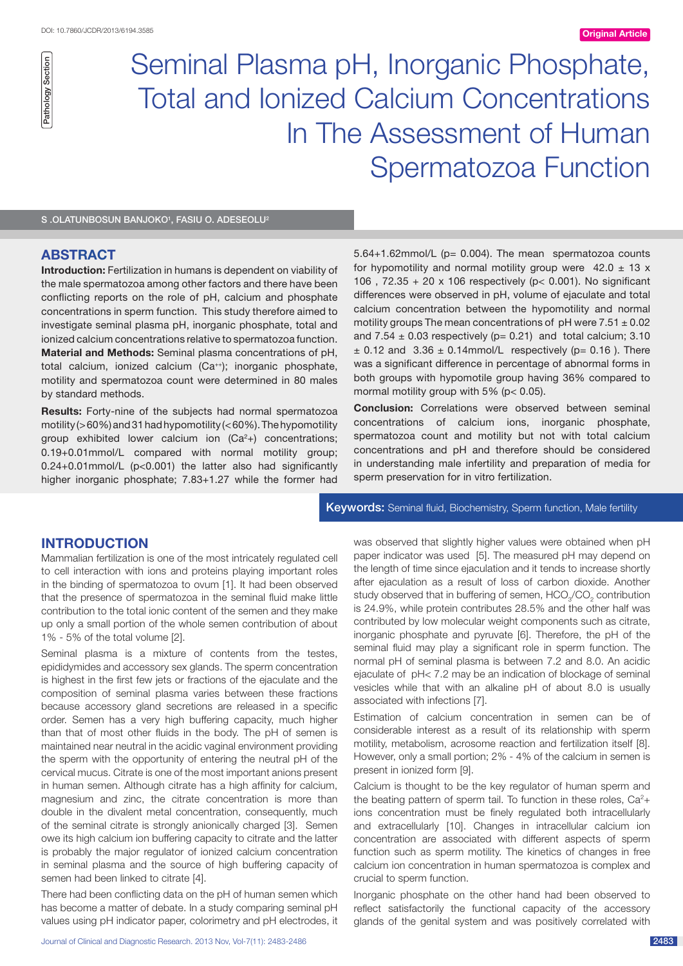Seminal Plasma pH, Inorganic Phosphate, Total and Ionized Calcium Concentrations In The Assessment of Human Spermatozoa Function

S .OLATUNBOSUN BANJOKO<sup>1</sup>, FASIU O. ADESEOLU<sup>2</sup>

# **ABSTRACT**

**Introduction:** Fertilization in humans is dependent on viability of the male spermatozoa among other factors and there have been conflicting reports on the role of pH, calcium and phosphate concentrations in sperm function. This study therefore aimed to investigate seminal plasma pH, inorganic phosphate, total and ionized calcium concentrations relative to spermatozoa function. **Material and Methods:** Seminal plasma concentrations of pH, total calcium, ionized calcium (Ca<sup>++</sup>); inorganic phosphate, motility and spermatozoa count were determined in 80 males by standard methods.

**Results:** Forty-nine of the subjects had normal spermatozoa motility ( $>60\%$ ) and 31 had hypomotility ( $< 60\%$ ). The hypomotility group exhibited lower calcium ion  $(Ca<sup>2</sup>)$  concentrations; 0.19+0.01mmol/L compared with normal motility group; 0.24+0.01mmol/L (p<0.001) the latter also had significantly higher inorganic phosphate; 7.83+1.27 while the former had 5.64+1.62mmol/L (p= 0.004). The mean spermatozoa counts for hypomotility and normal motility group were  $42.0 \pm 13 \times$ 106,  $72.35 + 20 \times 106$  respectively (p< 0.001). No significant differences were observed in pH, volume of ejaculate and total calcium concentration between the hypomotility and normal motility groups The mean concentrations of pH were  $7.51 \pm 0.02$ and  $7.54 \pm 0.03$  respectively (p= 0.21) and total calcium; 3.10  $\pm$  0.12 and 3.36  $\pm$  0.14mmol/L respectively (p= 0.16 ). There was a significant difference in percentage of abnormal forms in both groups with hypomotile group having 36% compared to mormal motility group with 5% (p< 0.05).

**Conclusion:** Correlations were observed between seminal concentrations of calcium ions, inorganic phosphate, spermatozoa count and motility but not with total calcium concentrations and pH and therefore should be considered in understanding male infertility and preparation of media for sperm preservation for in vitro fertilization.

Keywords: Seminal fluid, Biochemistry, Sperm function, Male fertility

## **Introduction**

Mammalian fertilization is one of the most intricately regulated cell to cell interaction with ions and proteins playing important roles in the binding of spermatozoa to ovum [1]. It had been observed that the presence of spermatozoa in the seminal fluid make little contribution to the total ionic content of the semen and they make up only a small portion of the whole semen contribution of about 1% - 5% of the total volume [2].

Seminal plasma is a mixture of contents from the testes, epididymides and accessory sex glands. The sperm concentration is highest in the first few jets or fractions of the ejaculate and the composition of seminal plasma varies between these fractions because accessory gland secretions are released in a specific order. Semen has a very high buffering capacity, much higher than that of most other fluids in the body. The pH of semen is maintained near neutral in the acidic vaginal environment providing the sperm with the opportunity of entering the neutral pH of the cervical mucus. Citrate is one of the most important anions present in human semen. Although citrate has a high affinity for calcium, magnesium and zinc, the citrate concentration is more than double in the divalent metal concentration, consequently, much of the seminal citrate is strongly anionically charged [3]. Semen owe its high calcium ion buffering capacity to citrate and the latter is probably the major regulator of ionized calcium concentration in seminal plasma and the source of high buffering capacity of semen had been linked to citrate [4]. Solution and the material of the material of the material of the material of the material of the material of the material of the material interaction is a control of the material in the material of the material in the ma

There had been conflicting data on the pH of human semen which has become a matter of debate. In a study comparing seminal pH was observed that slightly higher values were obtained when pH paper indicator was used [5]. The measured pH may depend on the length of time since ejaculation and it tends to increase shortly after ejaculation as a result of loss of carbon dioxide. Another study observed that in buffering of semen,  $\mathsf{HCO}_3\!\!/\mathsf{CO}_2$  contribution is 24.9%, while protein contributes 28.5% and the other half was contributed by low molecular weight components such as citrate, inorganic phosphate and pyruvate [6]. Therefore, the pH of the seminal fluid may play a significant role in sperm function. The normal pH of seminal plasma is between 7.2 and 8.0. An acidic ejaculate of pH< 7.2 may be an indication of blockage of seminal vesicles while that with an alkaline pH of about 8.0 is usually associated with infections [7].

Estimation of calcium concentration in semen can be of considerable interest as a result of its relationship with sperm motility, metabolism, acrosome reaction and fertilization itself [8]. However, only a small portion; 2% - 4% of the calcium in semen is present in ionized form [9].

Calcium is thought to be the key regulator of human sperm and the beating pattern of sperm tail. To function in these roles,  $Ca<sup>2</sup> +$ ions concentration must be finely regulated both intracellularly and extracellularly [10]. Changes in intracellular calcium ion concentration are associated with different aspects of sperm function such as sperm motility. The kinetics of changes in free calcium ion concentration in human spermatozoa is complex and crucial to sperm function.

Inorganic phosphate on the other hand had been observed to reflect satisfactorily the functional capacity of the accessory glands of the genital system and was positively correlated with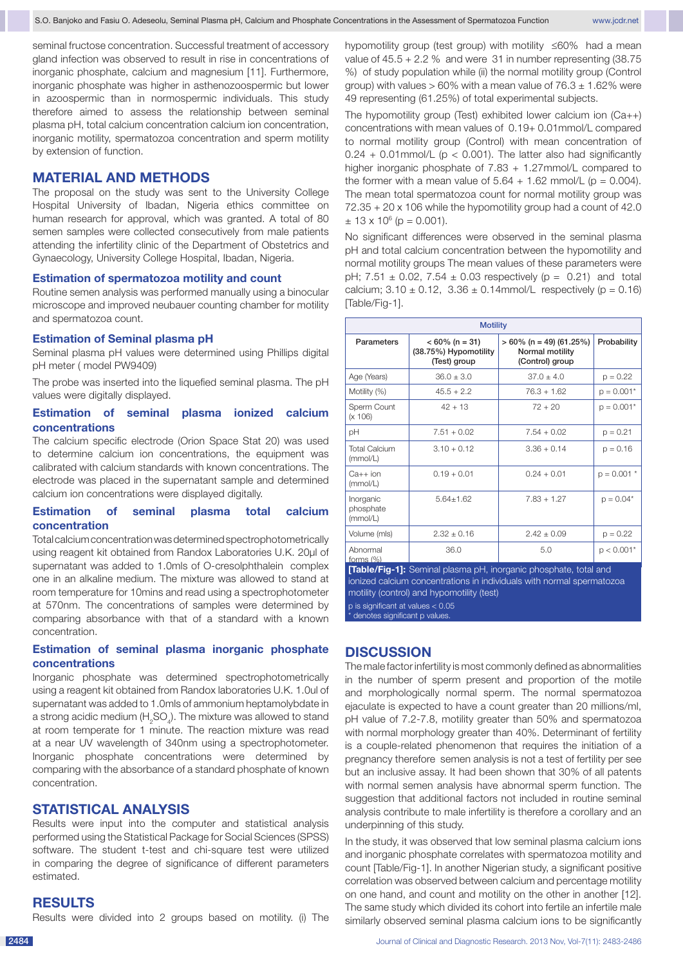seminal fructose concentration. Successful treatment of accessory gland infection was observed to result in rise in concentrations of inorganic phosphate, calcium and magnesium [11]. Furthermore, inorganic phosphate was higher in asthenozoospermic but lower in azoospermic than in normospermic individuals. This study therefore aimed to assess the relationship between seminal plasma pH, total calcium concentration calcium ion concentration, inorganic motility, spermatozoa concentration and sperm motility by extension of function.

## **MATERIAL AND METHODS**

The proposal on the study was sent to the University College Hospital University of Ibadan, Nigeria ethics committee on human research for approval, which was granted. A total of 80 semen samples were collected consecutively from male patients attending the infertility clinic of the Department of Obstetrics and Gynaecology, University College Hospital, Ibadan, Nigeria.

#### **Estimation of spermatozoa motility and count**

Routine semen analysis was performed manually using a binocular microscope and improved neubauer counting chamber for motility and spermatozoa count.

## **Estimation of Seminal plasma pH**

Seminal plasma pH values were determined using Phillips digital pH meter ( model PW9409)

The probe was inserted into the liquefied seminal plasma. The pH values were digitally displayed.

## **Estimation of seminal plasma ionized calcium concentrations**

The calcium specific electrode (Orion Space Stat 20) was used to determine calcium ion concentrations, the equipment was calibrated with calcium standards with known concentrations. The electrode was placed in the supernatant sample and determined calcium ion concentrations were displayed digitally.

## **Estimation of seminal plasma total calcium concentration**

Total calcium concentration was determined spectrophotometrically using reagent kit obtained from Randox Laboratories U.K. 20µl of supernatant was added to 1.0mls of O-cresolphthalein complex one in an alkaline medium. The mixture was allowed to stand at room temperature for 10mins and read using a spectrophotometer at 570nm. The concentrations of samples were determined by comparing absorbance with that of a standard with a known concentration.

## **Estimation of seminal plasma inorganic phosphate concentrations**

Inorganic phosphate was determined spectrophotometrically using a reagent kit obtained from Randox laboratories U.K. 1.0ul of supernatant was added to 1.0mls of ammonium heptamolybdate in a strong acidic medium (H<sub>2</sub>SO<sub>4</sub>). The mixture was allowed to stand at room temperate for 1 minute. The reaction mixture was read at a near UV wavelength of 340nm using a spectrophotometer. Inorganic phosphate concentrations were determined by comparing with the absorbance of a standard phosphate of known concentration.

## **STATISTICAL ANALYSIS**

Results were input into the computer and statistical analysis performed using the Statistical Package for Social Sciences (SPSS) software. The student t-test and chi-square test were utilized in comparing the degree of significance of different parameters estimated.

## **RESULTS**

Results were divided into 2 groups based on motility. (i) The

hypomotility group (test group) with motility ≤60% had a mean value of 45.5 + 2.2 % and were 31 in number representing (38.75 %) of study population while (ii) the normal motility group (Control group) with values  $> 60\%$  with a mean value of  $76.3 \pm 1.62\%$  were 49 representing (61.25%) of total experimental subjects.

The hypomotility group (Test) exhibited lower calcium ion (Ca++) concentrations with mean values of 0.19+ 0.01mmol/L compared to normal motility group (Control) with mean concentration of  $0.24 + 0.01$ mmol/L ( $p < 0.001$ ). The latter also had significantly higher inorganic phosphate of 7.83 + 1.27mmol/L compared to the former with a mean value of  $5.64 + 1.62$  mmol/L ( $p = 0.004$ ). The mean total spermatozoa count for normal motility group was 72.35 + 20 x 106 while the hypomotility group had a count of 42.0  $\pm$  13 x 10<sup>6</sup> (p = 0.001).

No significant differences were observed in the seminal plasma pH and total calcium concentration between the hypomotility and normal motility groups The mean values of these parameters were pH;  $7.51 \pm 0.02$ ,  $7.54 \pm 0.03$  respectively (p = 0.21) and total calcium;  $3.10 \pm 0.12$ ,  $3.36 \pm 0.14$ mmol/L respectively (p = 0.16) [Table/Fig-1].

| <b>Motility</b>                    |                                                            |                                                                  |               |
|------------------------------------|------------------------------------------------------------|------------------------------------------------------------------|---------------|
| <b>Parameters</b>                  | $< 60\%$ (n = 31)<br>(38.75%) Hypomotility<br>(Test) group | $> 60\%$ (n = 49) (61.25%)<br>Normal motility<br>(Control) group | Probability   |
| Age (Years)                        | $36.0 \pm 3.0$                                             | $37.0 + 4.0$                                                     | $p = 0.22$    |
| Motility (%)                       | $45.5 + 2.2$                                               | $76.3 + 1.62$                                                    | $p = 0.001*$  |
| Sperm Count<br>(x 106)             | $42 + 13$                                                  | $72 + 20$                                                        | $p = 0.001*$  |
| рH                                 | $7.51 + 0.02$                                              | $7.54 + 0.02$                                                    | $p = 0.21$    |
| <b>Total Calcium</b><br>(mmol/L)   | $3.10 + 0.12$                                              | $3.36 + 0.14$                                                    | $p = 0.16$    |
| $Ca++$ ion<br>(mmol/L)             | $0.19 + 0.01$                                              | $0.24 + 0.01$                                                    | $p = 0.001$ * |
| Inorganic<br>phosphate<br>(mmol/L) | $5.64 + 1.62$                                              | $7.83 + 1.27$                                                    | $p = 0.04*$   |
| Volume (mls)                       | $2.32 + 0.16$                                              | $2.42 \pm 0.09$                                                  | $p = 0.22$    |
| Abnormal<br>forms $(%)$            | 36.0                                                       | 5.0                                                              | $p < 0.001*$  |

**[Table/Fig-1]:** Seminal plasma pH, inorganic phosphate, total and ionized calcium concentrations in individuals with normal spermatozoa motility (control) and hypomotility (test) p is significant at values < 0.05

denotes significant p values.

## **DISCUSSION**

The male factor infertility is most commonly defined as abnormalities in the number of sperm present and proportion of the motile and morphologically normal sperm. The normal spermatozoa ejaculate is expected to have a count greater than 20 millions/ml, pH value of 7.2-7.8, motility greater than 50% and spermatozoa with normal morphology greater than 40%. Determinant of fertility is a couple-related phenomenon that requires the initiation of a pregnancy therefore semen analysis is not a test of fertility per see but an inclusive assay. It had been shown that 30% of all patents with normal semen analysis have abnormal sperm function. The suggestion that additional factors not included in routine seminal analysis contribute to male infertility is therefore a corollary and an underpinning of this study.

In the study, it was observed that low seminal plasma calcium ions and inorganic phosphate correlates with spermatozoa motility and count [Table/Fig-1]. In another Nigerian study, a significant positive correlation was observed between calcium and percentage motility on one hand, and count and motility on the other in another [12]. The same study which divided its cohort into fertile an infertile male similarly observed seminal plasma calcium ions to be significantly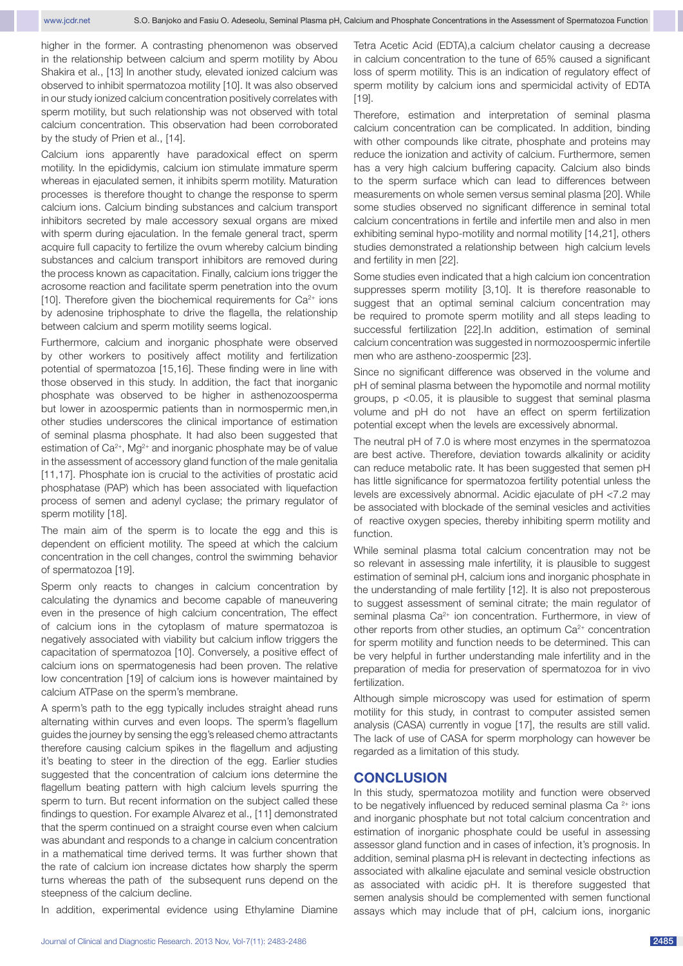higher in the former. A contrasting phenomenon was observed in the relationship between calcium and sperm motility by Abou Shakira et al., [13] In another study, elevated ionized calcium was observed to inhibit spermatozoa motility [10]. It was also observed in our study ionized calcium concentration positively correlates with sperm motility, but such relationship was not observed with total calcium concentration. This observation had been corroborated by the study of Prien et al., [14].

Calcium ions apparently have paradoxical effect on sperm motility. In the epididymis, calcium ion stimulate immature sperm whereas in ejaculated semen, it inhibits sperm motility. Maturation processes is therefore thought to change the response to sperm calcium ions. Calcium binding substances and calcium transport inhibitors secreted by male accessory sexual organs are mixed with sperm during ejaculation. In the female general tract, sperm acquire full capacity to fertilize the ovum whereby calcium binding substances and calcium transport inhibitors are removed during the process known as capacitation. Finally, calcium ions trigger the acrosome reaction and facilitate sperm penetration into the ovum [10]. Therefore given the biochemical requirements for  $Ca^{2+}$  ions by adenosine triphosphate to drive the flagella, the relationship between calcium and sperm motility seems logical.

Furthermore, calcium and inorganic phosphate were observed by other workers to positively affect motility and fertilization potential of spermatozoa [15,16]. These finding were in line with those observed in this study. In addition, the fact that inorganic phosphate was observed to be higher in asthenozoosperma but lower in azoospermic patients than in normospermic men,in other studies underscores the clinical importance of estimation of seminal plasma phosphate. It had also been suggested that estimation of  $Ca^{2+}$ , Mg<sup>2+</sup> and inorganic phosphate may be of value in the assessment of accessory gland function of the male genitalia [11,17]. Phosphate ion is crucial to the activities of prostatic acid phosphatase (PAP) which has been associated with liquefaction process of semen and adenyl cyclase; the primary regulator of sperm motility [18].

The main aim of the sperm is to locate the egg and this is dependent on efficient motility. The speed at which the calcium concentration in the cell changes, control the swimming behavior of spermatozoa [19].

Sperm only reacts to changes in calcium concentration by calculating the dynamics and become capable of maneuvering even in the presence of high calcium concentration, The effect of calcium ions in the cytoplasm of mature spermatozoa is negatively associated with viability but calcium inflow triggers the capacitation of spermatozoa [10]. Conversely, a positive effect of calcium ions on spermatogenesis had been proven. The relative low concentration [19] of calcium ions is however maintained by calcium ATPase on the sperm's membrane.

A sperm's path to the egg typically includes straight ahead runs alternating within curves and even loops. The sperm's flagellum guides the journey by sensing the egg's released chemo attractants therefore causing calcium spikes in the flagellum and adjusting it's beating to steer in the direction of the egg. Earlier studies suggested that the concentration of calcium ions determine the flagellum beating pattern with high calcium levels spurring the sperm to turn. But recent information on the subject called these findings to question. For example Alvarez et al., [11] demonstrated that the sperm continued on a straight course even when calcium was abundant and responds to a change in calcium concentration in a mathematical time derived terms. It was further shown that the rate of calcium ion increase dictates how sharply the sperm turns whereas the path of the subsequent runs depend on the steepness of the calcium decline.

In addition, experimental evidence using Ethylamine Diamine

Tetra Acetic Acid (EDTA),a calcium chelator causing a decrease in calcium concentration to the tune of 65% caused a significant loss of sperm motility. This is an indication of regulatory effect of sperm motility by calcium ions and spermicidal activity of EDTA [19].

Therefore, estimation and interpretation of seminal plasma calcium concentration can be complicated. In addition, binding with other compounds like citrate, phosphate and proteins may reduce the ionization and activity of calcium. Furthermore, semen has a very high calcium buffering capacity. Calcium also binds to the sperm surface which can lead to differences between measurements on whole semen versus seminal plasma [20]. While some studies observed no significant difference in seminal total calcium concentrations in fertile and infertile men and also in men exhibiting seminal hypo-motility and normal motility [14,21], others studies demonstrated a relationship between high calcium levels and fertility in men [22].

Some studies even indicated that a high calcium ion concentration suppresses sperm motility [3,10]. It is therefore reasonable to suggest that an optimal seminal calcium concentration may be required to promote sperm motility and all steps leading to successful fertilization [22].In addition, estimation of seminal calcium concentration was suggested in normozoospermic infertile men who are astheno-zoospermic [23].

Since no significant difference was observed in the volume and pH of seminal plasma between the hypomotile and normal motility groups, p <0.05, it is plausible to suggest that seminal plasma volume and pH do not have an effect on sperm fertilization potential except when the levels are excessively abnormal.

The neutral pH of 7.0 is where most enzymes in the spermatozoa are best active. Therefore, deviation towards alkalinity or acidity can reduce metabolic rate. It has been suggested that semen pH has little significance for spermatozoa fertility potential unless the levels are excessively abnormal. Acidic ejaculate of pH <7.2 may be associated with blockade of the seminal vesicles and activities of reactive oxygen species, thereby inhibiting sperm motility and function.

While seminal plasma total calcium concentration may not be so relevant in assessing male infertility, it is plausible to suggest estimation of seminal pH, calcium ions and inorganic phosphate in the understanding of male fertility [12]. It is also not preposterous to suggest assessment of seminal citrate; the main regulator of seminal plasma Ca<sup>2+</sup> ion concentration. Furthermore, in view of other reports from other studies, an optimum Ca<sup>2+</sup> concentration for sperm motility and function needs to be determined. This can be very helpful in further understanding male infertility and in the preparation of media for preservation of spermatozoa for in vivo fertilization.

Although simple microscopy was used for estimation of sperm motility for this study, in contrast to computer assisted semen analysis (CASA) currently in vogue [17], the results are still valid. The lack of use of CASA for sperm morphology can however be regarded as a limitation of this study.

### **CONCLUSION**

In this study, spermatozoa motility and function were observed to be negatively influenced by reduced seminal plasma Ca  $2+$  ions and inorganic phosphate but not total calcium concentration and estimation of inorganic phosphate could be useful in assessing assessor gland function and in cases of infection, it's prognosis. In addition, seminal plasma pH is relevant in dectecting infections as associated with alkaline ejaculate and seminal vesicle obstruction as associated with acidic pH. It is therefore suggested that semen analysis should be complemented with semen functional assays which may include that of pH, calcium ions, inorganic